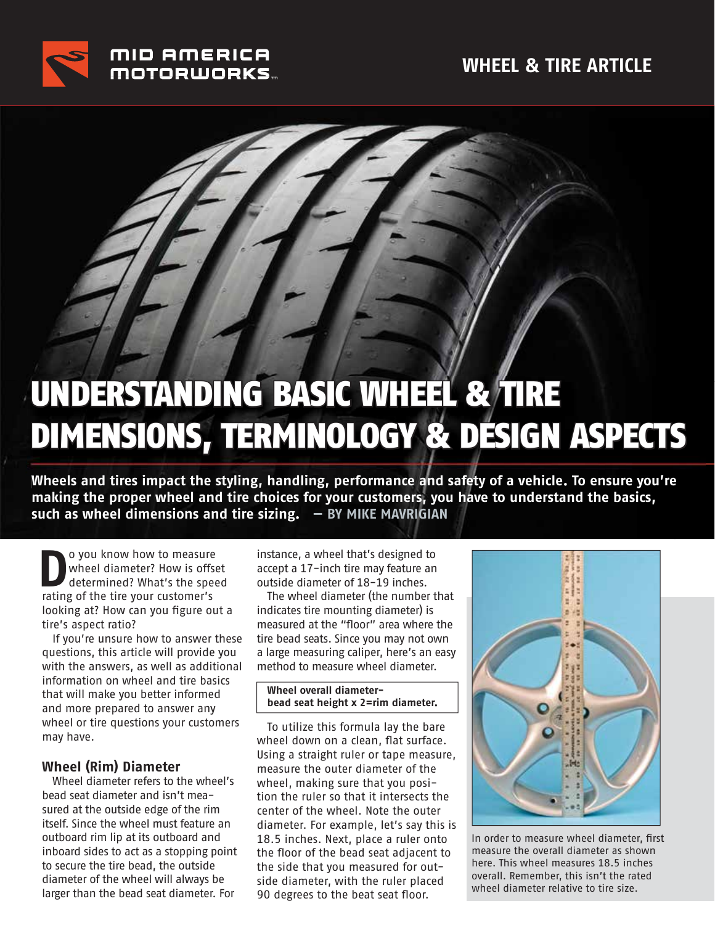

# UNDERSTANDING BASIC WHEEL & TIRE DIMENSIONS, TERMINOLOGY & DESIGN ASPECTS

**Wheels and tires impact the styling, handling, performance and safety of a vehicle. To ensure you're making the proper wheel and tire choices for your customers, you have to understand the basics, such as wheel dimensions and tire sizing. — BY MIKE MAVRIGIAN**

**D**o you know how to measure<br>wheel diameter? How is offser<br>determined? What's the spee wheel diameter? How is offset determined? What's the speed rating of the tire your customer's looking at? How can you figure out a tire's aspect ratio?

If you're unsure how to answer these questions, this article will provide you with the answers, as well as additional information on wheel and tire basics that will make you better informed and more prepared to answer any wheel or tire questions your customers may have.

#### **Wheel (Rim) Diameter**

Wheel diameter refers to the wheel's bead seat diameter and isn't measured at the outside edge of the rim itself. Since the wheel must feature an outboard rim lip at its outboard and inboard sides to act as a stopping point to secure the tire bead, the outside diameter of the wheel will always be larger than the bead seat diameter. For

instance, a wheel that's designed to accept a 17-inch tire may feature an outside diameter of 18-19 inches.

The wheel diameter (the number that indicates tire mounting diameter) is measured at the "floor" area where the tire bead seats. Since you may not own a large measuring caliper, here's an easy method to measure wheel diameter.

#### **Wheel overall diameterbead seat height x 2=rim diameter.**

To utilize this formula lay the bare wheel down on a clean, flat surface. Using a straight ruler or tape measure, measure the outer diameter of the wheel, making sure that you position the ruler so that it intersects the center of the wheel. Note the outer diameter. For example, let's say this is 18.5 inches. Next, place a ruler onto the floor of the bead seat adjacent to the side that you measured for outside diameter, with the ruler placed 90 degrees to the beat seat floor.



In order to measure wheel diameter, first measure the overall diameter as shown here. This wheel measures 18.5 inches overall. Remember, this isn't the rated wheel diameter relative to tire size.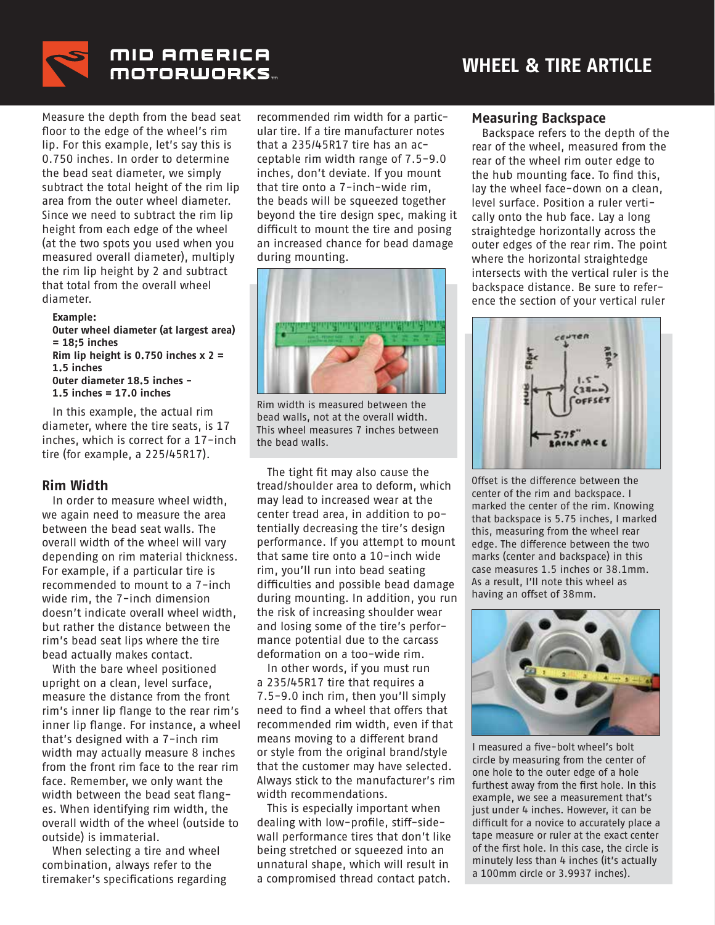

#### MID AMERICA **MOTORWORKS...**

Measure the depth from the bead seat floor to the edge of the wheel's rim lip. For this example, let's say this is 0.750 inches. In order to determine the bead seat diameter, we simply subtract the total height of the rim lip area from the outer wheel diameter. Since we need to subtract the rim lip height from each edge of the wheel (at the two spots you used when you measured overall diameter), multiply the rim lip height by 2 and subtract that total from the overall wheel diameter.

#### **Example: Outer wheel diameter (at largest area) = 18;5 inches Rim lip height is 0.750 inches x 2 = 1.5 inches Outer diameter 18.5 inches - 1.5 inches = 17.0 inches**

In this example, the actual rim diameter, where the tire seats, is 17 inches, which is correct for a 17-inch tire (for example, a 225/45R17).

#### **Rim Width**

In order to measure wheel width, we again need to measure the area between the bead seat walls. The overall width of the wheel will vary depending on rim material thickness. For example, if a particular tire is recommended to mount to a 7-inch wide rim, the 7-inch dimension doesn't indicate overall wheel width, but rather the distance between the rim's bead seat lips where the tire bead actually makes contact.

With the bare wheel positioned upright on a clean, level surface, measure the distance from the front rim's inner lip flange to the rear rim's inner lip flange. For instance, a wheel that's designed with a 7-inch rim width may actually measure 8 inches from the front rim face to the rear rim face. Remember, we only want the width between the bead seat flanges. When identifying rim width, the overall width of the wheel (outside to outside) is immaterial.

When selecting a tire and wheel combination, always refer to the tiremaker's specifications regarding

recommended rim width for a particular tire. If a tire manufacturer notes that a 235/45R17 tire has an acceptable rim width range of 7.5-9.0 inches, don't deviate. If you mount that tire onto a 7-inch-wide rim, the beads will be squeezed together beyond the tire design spec, making it difficult to mount the tire and posing an increased chance for bead damage during mounting.



Rim width is measured between the bead walls, not at the overall width. This wheel measures 7 inches between the bead walls.

The tight fit may also cause the tread/shoulder area to deform, which may lead to increased wear at the center tread area, in addition to potentially decreasing the tire's design performance. If you attempt to mount that same tire onto a 10-inch wide rim, you'll run into bead seating difficulties and possible bead damage during mounting. In addition, you run the risk of increasing shoulder wear and losing some of the tire's performance potential due to the carcass deformation on a too-wide rim.

In other words, if you must run a 235/45R17 tire that requires a 7.5-9.0 inch rim, then you'll simply need to find a wheel that offers that recommended rim width, even if that means moving to a different brand or style from the original brand/style that the customer may have selected. Always stick to the manufacturer's rim width recommendations.

This is especially important when dealing with low-profile, stiff-sidewall performance tires that don't like being stretched or squeezed into an unnatural shape, which will result in a compromised thread contact patch.

#### **Measuring Backspace**

Backspace refers to the depth of the rear of the wheel, measured from the rear of the wheel rim outer edge to the hub mounting face. To find this, lay the wheel face-down on a clean, level surface. Position a ruler vertically onto the hub face. Lay a long straightedge horizontally across the outer edges of the rear rim. The point where the horizontal straightedge intersects with the vertical ruler is the backspace distance. Be sure to reference the section of your vertical ruler



Offset is the difference between the center of the rim and backspace. I marked the center of the rim. Knowing that backspace is 5.75 inches, I marked this, measuring from the wheel rear edge. The difference between the two marks (center and backspace) in this case measures 1.5 inches or 38.1mm. As a result, I'll note this wheel as having an offset of 38mm.



I measured a five-bolt wheel's bolt circle by measuring from the center of one hole to the outer edge of a hole furthest away from the first hole. In this example, we see a measurement that's just under 4 inches. However, it can be difficult for a novice to accurately place a tape measure or ruler at the exact center of the first hole. In this case, the circle is minutely less than 4 inches (it's actually a 100mm circle or 3.9937 inches).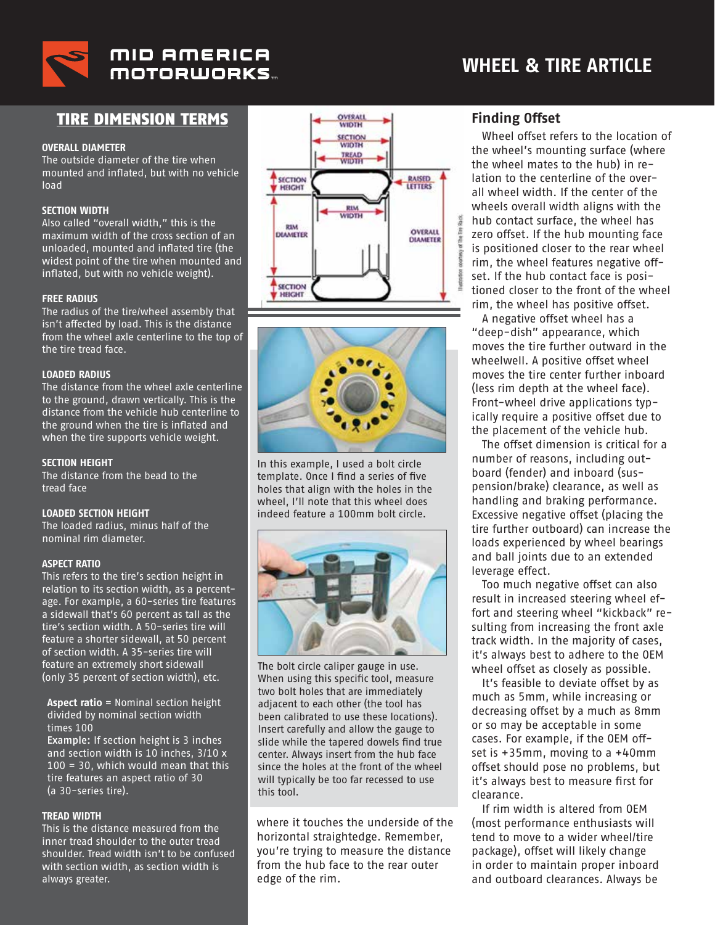

#### TIRE DIMENSION TERMS

#### **OVERALL DIAMETER**

The outside diameter of the tire when mounted and inflated, but with no vehicle load

#### **SECTION WIDTH**

Also called "overall width," this is the maximum width of the cross section of an unloaded, mounted and inflated tire (the widest point of the tire when mounted and inflated, but with no vehicle weight).

#### **FREE RADIUS**

The radius of the tire/wheel assembly that isn't affected by load. This is the distance from the wheel axle centerline to the top of the tire tread face.

#### **LOADED RADIUS**

The distance from the wheel axle centerline to the ground, drawn vertically. This is the distance from the vehicle hub centerline to the ground when the tire is inflated and when the tire supports vehicle weight.

#### **SECTION HEIGHT**

The distance from the bead to the tread face

#### **LOADED SECTION HEIGHT**

The loaded radius, minus half of the nominal rim diameter.

#### **ASPECT RATIO**

This refers to the tire's section height in relation to its section width, as a percentage. For example, a 60-series tire features a sidewall that's 60 percent as tall as the tire's section width. A 50-series tire will feature a shorter sidewall, at 50 percent of section width. A 35-series tire will feature an extremely short sidewall (only 35 percent of section width), etc.

**Aspect ratio** = Nominal section height divided by nominal section width times 100 Example: If section height is 3 inches and section width is 10 inches, 3/10 x 100 = 30, which would mean that this

tire features an aspect ratio of 30 (a 30-series tire).

#### **TREAD WIDTH**

This is the distance measured from the inner tread shoulder to the outer tread shoulder. Tread width isn't to be confused with section width, as section width is always greater.





In this example, I used a bolt circle template. Once I find a series of five holes that align with the holes in the wheel, I'll note that this wheel does indeed feature a 100mm bolt circle.



The bolt circle caliper gauge in use. When using this specific tool, measure two bolt holes that are immediately adjacent to each other (the tool has been calibrated to use these locations). Insert carefully and allow the gauge to slide while the tapered dowels find true center. Always insert from the hub face since the holes at the front of the wheel will typically be too far recessed to use this tool.

where it touches the underside of the horizontal straightedge. Remember, you're trying to measure the distance from the hub face to the rear outer edge of the rim.

#### **Finding Offset**

Wheel offset refers to the location of the wheel's mounting surface (where the wheel mates to the hub) in relation to the centerline of the overall wheel width. If the center of the wheels overall width aligns with the hub contact surface, the wheel has zero offset. If the hub mounting face is positioned closer to the rear wheel rim, the wheel features negative offset. If the hub contact face is positioned closer to the front of the wheel rim, the wheel has positive offset.

A negative offset wheel has a "deep-dish" appearance, which moves the tire further outward in the wheelwell. A positive offset wheel moves the tire center further inboard (less rim depth at the wheel face). Front-wheel drive applications typically require a positive offset due to the placement of the vehicle hub.

The offset dimension is critical for a number of reasons, including outboard (fender) and inboard (suspension/brake) clearance, as well as handling and braking performance. Excessive negative offset (placing the tire further outboard) can increase the loads experienced by wheel bearings and ball joints due to an extended leverage effect.

Too much negative offset can also result in increased steering wheel effort and steering wheel "kickback" resulting from increasing the front axle track width. In the majority of cases, it's always best to adhere to the OEM wheel offset as closely as possible.

It's feasible to deviate offset by as much as 5mm, while increasing or decreasing offset by a much as 8mm or so may be acceptable in some cases. For example, if the OEM offset is +35mm, moving to a +40mm offset should pose no problems, but it's always best to measure first for clearance.

If rim width is altered from OEM (most performance enthusiasts will tend to move to a wider wheel/tire package), offset will likely change in order to maintain proper inboard and outboard clearances. Always be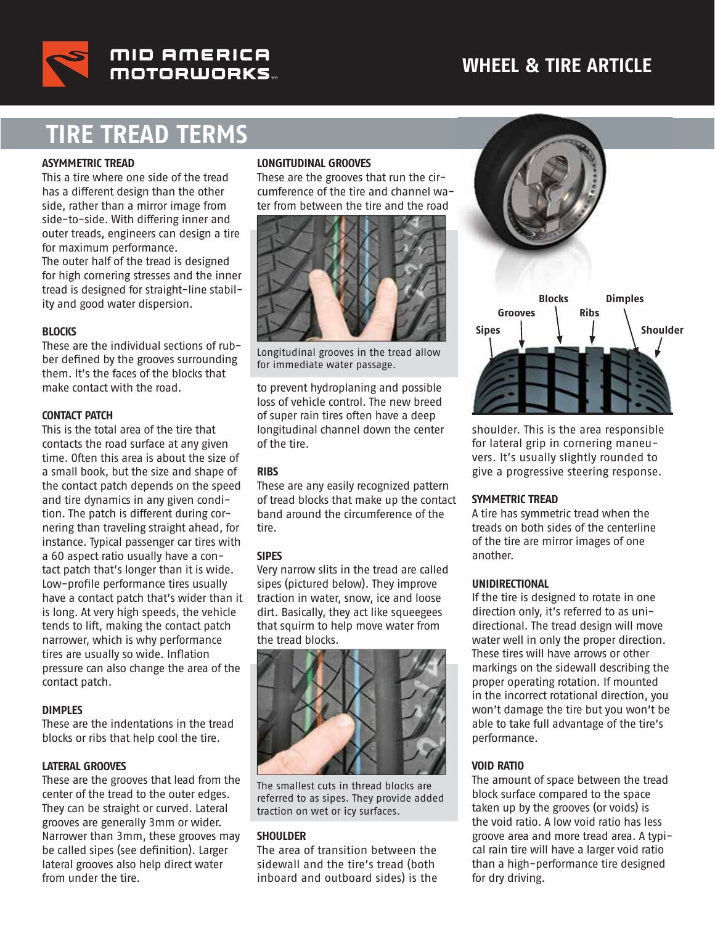### **WHEEL & TIRE ARTICLE**



MID AMERICA MOTORWORKS.

## **TIRE TREAD TERMS**

#### **ASYMMETRIC TREAD**

This a tire where one side of the tread has a different design than the other side, rather than a mirror image from side-to-side. With differing inner and outer treads, engineers can design a tire for maximum performance. The outer half of the tread is designed for high cornering stresses and the inner tread is designed for straight-line stability and good water dispersion.

#### **BLOCKS**

These are the individual sections of rubber defined by the grooves surrounding them. It's the faces of the blocks that make contact with the road.

#### **CONTACT PATCH**

This is the total area of the tire that contacts the road surface at any given time. Often this area is about the size of a small book, but the size and shape of the contact patch depends on the speed and tire dynamics in any given condition. The patch is different during cornering than traveling straight ahead, for instance. Typical passenger car tires with a 60 aspect ratio usually have a contact patch that's longer than it is wide. Low-profile performance tires usually have a contact patch that's wider than it is long. At very high speeds, the vehicle tends to lift, making the contact patch narrower, which is why performance tires are usually so wide. Inflation pressure can also change the area of the contact patch.

#### **DIMPLES**

These are the indentations in the tread blocks or ribs that help cool the tire.

#### **LATERAL GROOVES**

These are the grooves that lead from the center of the tread to the outer edges. They can be straight or curved. Lateral grooves are generally 3mm or wider. Narrower than 3mm, these grooves may be called sipes (see definition). Larger lateral grooves also help direct water from under the tire.

#### **LONGITUDINAL GROOVES**

These are the grooves that run the circumference of the tire and channel water from between the tire and the road



Longitudinal grooves in the tread allow for immediate water passage.

to prevent hydroplaning and possible loss of vehicle control. The new breed of super rain tires often have a deep longitudinal channel down the center of the tire.

#### **RIBS**

These are any easily recognized pattern of tread blocks that make up the contact band around the circumference of the tire.

#### **SIPES**

Very narrow slits in the tread are called sipes (pictured below). They improve traction in water, snow, ice and loose dirt. Basically, they act like squeegees that squirm to help move water from the tread blocks.



The smallest cuts in thread blocks are referred to as sipes. They provide added traction on wet or icy surfaces.

#### **SHOULDER**

The area of transition between the sidewall and the tire's tread (both inboard and outboard sides) is the



shoulder. This is the area responsible for lateral grip in cornering maneuvers. It's usually slightly rounded to give a progressive steering response.

#### **SYMMETRIC TREAD**

A tire has symmetric tread when the treads on both sides of the centerline of the tire are mirror images of one another.

#### **UNIDIRECTIONAL**

If the tire is designed to rotate in one direction only, it's referred to as unidirectional. The tread design will move water well in only the proper direction. These tires will have arrows or other markings on the sidewall describing the proper operating rotation. If mounted in the incorrect rotational direction, you won't damage the tire but you won't be able to take full advantage of the tire's performance.

#### **VOID RATIO**

The amount of space between the tread block surface compared to the space taken up by the grooves (or voids) is the void ratio. A low void ratio has less groove area and more tread area. A typical rain tire will have a larger void ratio than a high-performance tire designed for dry driving.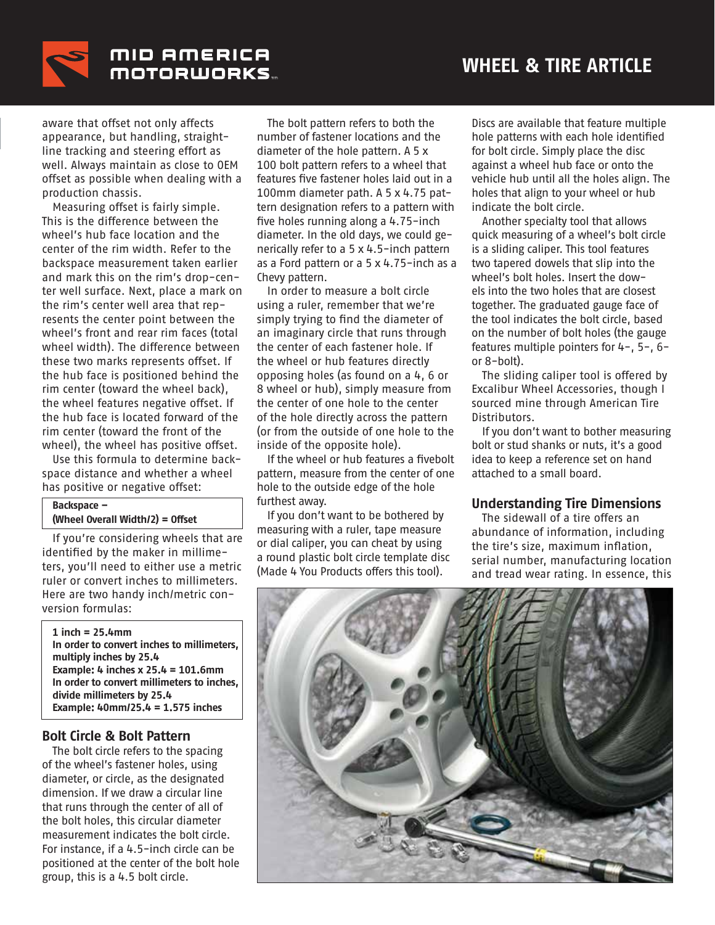

MID AMERICA **MOTORWORKS** 

aware that offset not only affects appearance, but handling, straightline tracking and steering effort as well. Always maintain as close to OEM offset as possible when dealing with a production chassis.

Measuring offset is fairly simple. This is the difference between the wheel's hub face location and the center of the rim width. Refer to the backspace measurement taken earlier and mark this on the rim's drop-center well surface. Next, place a mark on the rim's center well area that represents the center point between the wheel's front and rear rim faces (total wheel width). The difference between these two marks represents offset. If the hub face is positioned behind the rim center (toward the wheel back), the wheel features negative offset. If the hub face is located forward of the rim center (toward the front of the wheel), the wheel has positive offset.

Use this formula to determine backspace distance and whether a wheel has positive or negative offset:

#### **Backspace – (Wheel Overall Width/2) = Offset**

If you're considering wheels that are identified by the maker in millimeters, you'll need to either use a metric ruler or convert inches to millimeters. Here are two handy inch/metric conversion formulas:

**1 inch = 25.4mm In order to convert inches to millimeters, multiply inches by 25.4 Example: 4 inches x 25.4 = 101.6mm In order to convert millimeters to inches, divide millimeters by 25.4 Example: 40mm/25.4 = 1.575 inches**

#### **Bolt Circle & Bolt Pattern**

The bolt circle refers to the spacing of the wheel's fastener holes, using diameter, or circle, as the designated dimension. If we draw a circular line that runs through the center of all of the bolt holes, this circular diameter measurement indicates the bolt circle. For instance, if a 4.5-inch circle can be positioned at the center of the bolt hole group, this is a 4.5 bolt circle.

The bolt pattern refers to both the number of fastener locations and the diameter of the hole pattern. A 5 x 100 bolt pattern refers to a wheel that features five fastener holes laid out in a 100mm diameter path. A 5 x 4.75 pattern designation refers to a pattern with five holes running along a 4.75-inch diameter. In the old days, we could generically refer to a 5 x 4.5-inch pattern as a Ford pattern or a 5 x 4.75-inch as a Chevy pattern.

In order to measure a bolt circle using a ruler, remember that we're simply trying to find the diameter of an imaginary circle that runs through the center of each fastener hole. If the wheel or hub features directly opposing holes (as found on a 4, 6 or 8 wheel or hub), simply measure from the center of one hole to the center of the hole directly across the pattern (or from the outside of one hole to the inside of the opposite hole).

If the wheel or hub features a fivebolt pattern, measure from the center of one hole to the outside edge of the hole furthest away.

If you don't want to be bothered by measuring with a ruler, tape measure or dial caliper, you can cheat by using a round plastic bolt circle template disc (Made 4 You Products offers this tool).

Discs are available that feature multiple hole patterns with each hole identified for bolt circle. Simply place the disc against a wheel hub face or onto the vehicle hub until all the holes align. The holes that align to your wheel or hub indicate the bolt circle.

Another specialty tool that allows quick measuring of a wheel's bolt circle is a sliding caliper. This tool features two tapered dowels that slip into the wheel's bolt holes. Insert the dowels into the two holes that are closest together. The graduated gauge face of the tool indicates the bolt circle, based on the number of bolt holes (the gauge features multiple pointers for 4-, 5-, 6 or 8-bolt).

The sliding caliper tool is offered by Excalibur Wheel Accessories, though I sourced mine through American Tire Distributors.

If you don't want to bother measuring bolt or stud shanks or nuts, it's a good idea to keep a reference set on hand attached to a small board.

#### **Understanding Tire Dimensions**

The sidewall of a tire offers an abundance of information, including the tire's size, maximum inflation, serial number, manufacturing location and tread wear rating. In essence, this

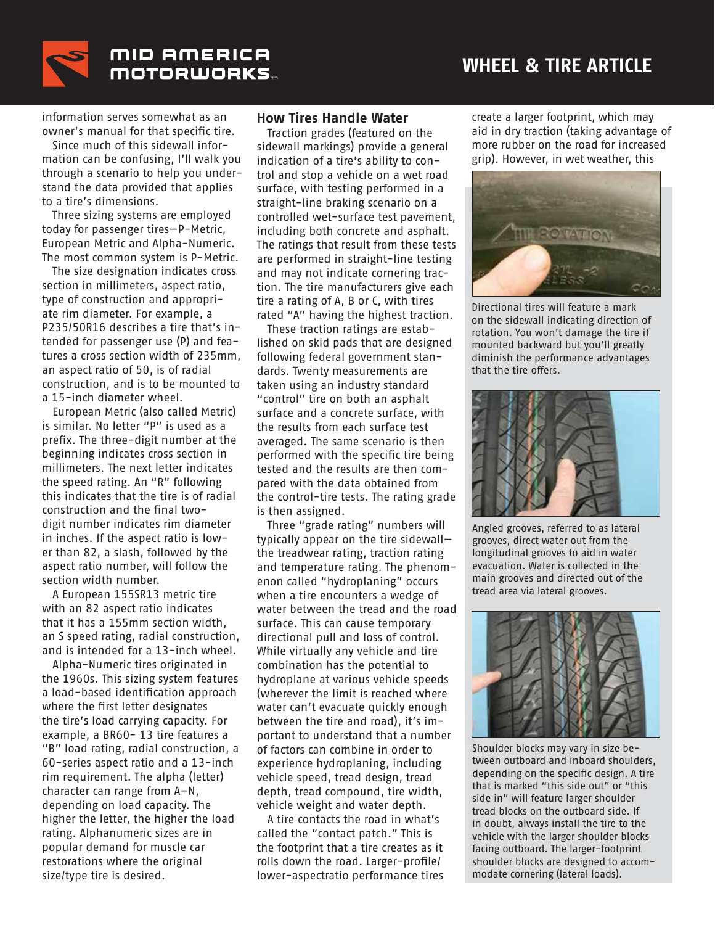

information serves somewhat as an owner's manual for that specific tire.

Since much of this sidewall information can be confusing, I'll walk you through a scenario to help you understand the data provided that applies to a tire's dimensions.

Three sizing systems are employed today for passenger tires—P-Metric, European Metric and Alpha-Numeric. The most common system is P-Metric.

The size designation indicates cross section in millimeters, aspect ratio, type of construction and appropriate rim diameter. For example, a P235/50R16 describes a tire that's intended for passenger use (P) and features a cross section width of 235mm, an aspect ratio of 50, is of radial construction, and is to be mounted to a 15-inch diameter wheel.

European Metric (also called Metric) is similar. No letter "P" is used as a prefix. The three-digit number at the beginning indicates cross section in millimeters. The next letter indicates the speed rating. An "R" following this indicates that the tire is of radial construction and the final twodigit number indicates rim diameter in inches. If the aspect ratio is lower than 82, a slash, followed by the aspect ratio number, will follow the section width number.

A European 155SR13 metric tire with an 82 aspect ratio indicates that it has a 155mm section width, an S speed rating, radial construction, and is intended for a 13-inch wheel.

Alpha-Numeric tires originated in the 1960s. This sizing system features a load-based identification approach where the first letter designates the tire's load carrying capacity. For example, a BR60- 13 tire features a "B" load rating, radial construction, a 60-series aspect ratio and a 13-inch rim requirement. The alpha (letter) character can range from A–N, depending on load capacity. The higher the letter, the higher the load rating. Alphanumeric sizes are in popular demand for muscle car restorations where the original size/type tire is desired.

#### **How Tires Handle Water**

Traction grades (featured on the sidewall markings) provide a general indication of a tire's ability to control and stop a vehicle on a wet road surface, with testing performed in a straight-line braking scenario on a controlled wet-surface test pavement, including both concrete and asphalt. The ratings that result from these tests are performed in straight-line testing and may not indicate cornering traction. The tire manufacturers give each tire a rating of A, B or C, with tires rated "A" having the highest traction.

These traction ratings are established on skid pads that are designed following federal government standards. Twenty measurements are taken using an industry standard "control" tire on both an asphalt surface and a concrete surface, with the results from each surface test averaged. The same scenario is then performed with the specific tire being tested and the results are then compared with the data obtained from the control-tire tests. The rating grade is then assigned.

Three "grade rating" numbers will typically appear on the tire sidewall the treadwear rating, traction rating and temperature rating. The phenomenon called "hydroplaning" occurs when a tire encounters a wedge of water between the tread and the road surface. This can cause temporary directional pull and loss of control. While virtually any vehicle and tire combination has the potential to hydroplane at various vehicle speeds (wherever the limit is reached where water can't evacuate quickly enough between the tire and road), it's important to understand that a number of factors can combine in order to experience hydroplaning, including vehicle speed, tread design, tread depth, tread compound, tire width, vehicle weight and water depth.

A tire contacts the road in what's called the "contact patch." This is the footprint that a tire creates as it rolls down the road. Larger-profile/ lower-aspectratio performance tires create a larger footprint, which may aid in dry traction (taking advantage of more rubber on the road for increased grip). However, in wet weather, this



Directional tires will feature a mark on the sidewall indicating direction of rotation. You won't damage the tire if mounted backward but you'll greatly diminish the performance advantages that the tire offers.



Angled grooves, referred to as lateral grooves, direct water out from the longitudinal grooves to aid in water evacuation. Water is collected in the main grooves and directed out of the tread area via lateral grooves.



Shoulder blocks may vary in size between outboard and inboard shoulders, depending on the specific design. A tire that is marked "this side out" or "this side in" will feature larger shoulder tread blocks on the outboard side. If in doubt, always install the tire to the vehicle with the larger shoulder blocks facing outboard. The larger-footprint shoulder blocks are designed to accommodate cornering (lateral loads).